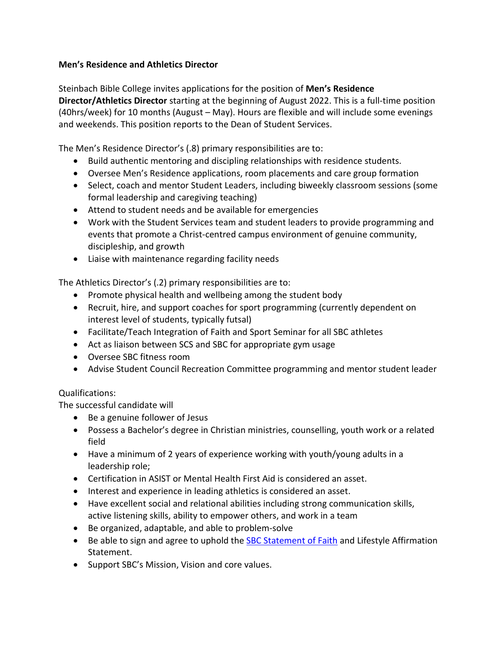## **Men's Residence and Athletics Director**

Steinbach Bible College invites applications for the position of **Men's Residence Director/Athletics Director** starting at the beginning of August 2022. This is a full-time position (40hrs/week) for 10 months (August – May). Hours are flexible and will include some evenings and weekends. This position reports to the Dean of Student Services.

The Men's Residence Director's (.8) primary responsibilities are to:

- Build authentic mentoring and discipling relationships with residence students.
- Oversee Men's Residence applications, room placements and care group formation
- Select, coach and mentor Student Leaders, including biweekly classroom sessions (some formal leadership and caregiving teaching)
- Attend to student needs and be available for emergencies
- Work with the Student Services team and student leaders to provide programming and events that promote a Christ-centred campus environment of genuine community, discipleship, and growth
- Liaise with maintenance regarding facility needs

The Athletics Director's (.2) primary responsibilities are to:

- Promote physical health and wellbeing among the student body
- Recruit, hire, and support coaches for sport programming (currently dependent on interest level of students, typically futsal)
- Facilitate/Teach Integration of Faith and Sport Seminar for all SBC athletes
- Act as liaison between SCS and SBC for appropriate gym usage
- Oversee SBC fitness room
- Advise Student Council Recreation Committee programming and mentor student leader

## Qualifications:

The successful candidate will

- Be a genuine follower of Jesus
- Possess a Bachelor's degree in Christian ministries, counselling, youth work or a related field
- Have a minimum of 2 years of experience working with youth/young adults in a leadership role;
- Certification in ASIST or Mental Health First Aid is considered an asset.
- Interest and experience in leading athletics is considered an asset.
- Have excellent social and relational abilities including strong communication skills, active listening skills, ability to empower others, and work in a team
- Be organized, adaptable, and able to problem-solve
- Be able to sign and agree to uphold the **SBC Statement of Faith and Lifestyle Affirmation** Statement.
- Support SBC's Mission, Vision and core values.